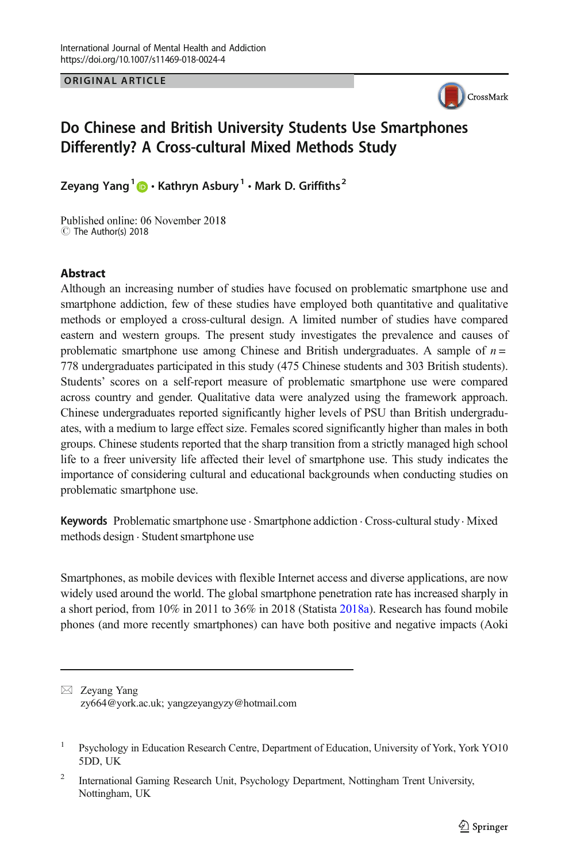**ORIGINAL ARTICLE** ORIGINAL ARTICLE



# Do Chinese and British University Students Use Smartphones Differently? A Cross-cultural Mixed Methods Study

Zeyang Yang<sup>1</sup>  $\bigcirc$   $\cdot$  Kathryn Asbury<sup>1</sup>  $\cdot$  Mark D. Griffiths<sup>2</sup>

Published online: 06 November 2018 C The Author(s) 2018

### Abstract

Although an increasing number of studies have focused on problematic smartphone use and smartphone addiction, few of these studies have employed both quantitative and qualitative methods or employed a cross-cultural design. A limited number of studies have compared eastern and western groups. The present study investigates the prevalence and causes of problematic smartphone use among Chinese and British undergraduates. A sample of  $n =$ 778 undergraduates participated in this study (475 Chinese students and 303 British students). Students' scores on a self-report measure of problematic smartphone use were compared across country and gender. Qualitative data were analyzed using the framework approach. Chinese undergraduates reported significantly higher levels of PSU than British undergraduates, with a medium to large effect size. Females scored significantly higher than males in both groups. Chinese students reported that the sharp transition from a strictly managed high school life to a freer university life affected their level of smartphone use. This study indicates the importance of considering cultural and educational backgrounds when conducting studies on problematic smartphone use.

Keywords Problematic smartphone use · Smartphone addiction · Cross-cultural study · Mixed methods design . Student smartphone use

Smartphones, as mobile devices with flexible Internet access and diverse applications, are now widely used around the world. The global smartphone penetration rate has increased sharply in a short period, from 10% in 2011 to 36% in 2018 (Statista [2018a](#page-13-0)). Research has found mobile phones (and more recently smartphones) can have both positive and negative impacts (Aoki

 $\boxtimes$  Zeyang Yang [zy664@york.ac.uk;](mailto:zy664@york.ac.uk) [yangzeyangyzy@hotmail.com](mailto:yangzeyangyzy@hotmail.com)

<sup>&</sup>lt;sup>1</sup> Psychology in Education Research Centre, Department of Education, University of York, York YO10 5DD, UK

<sup>&</sup>lt;sup>2</sup> International Gaming Research Unit, Psychology Department, Nottingham Trent University, Nottingham, UK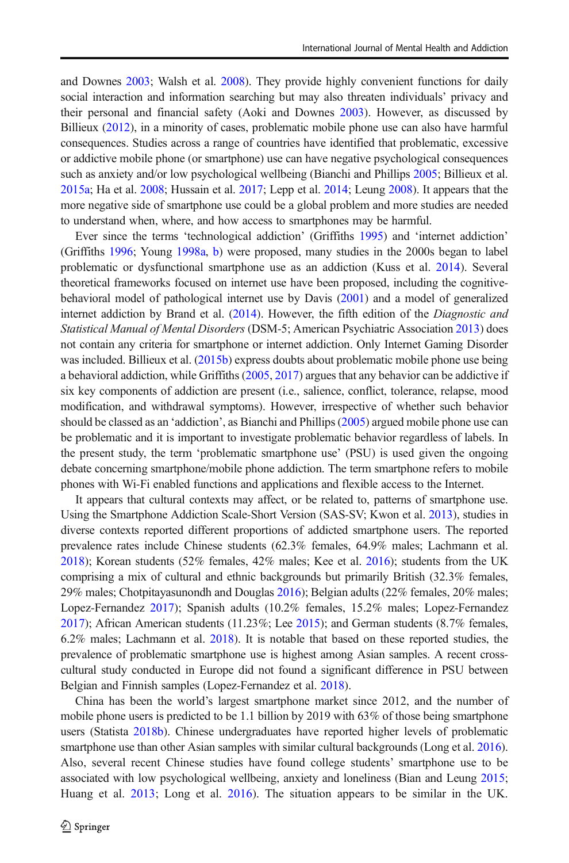and Downes [2003;](#page-12-0) Walsh et al. [2008](#page-13-0)). They provide highly convenient functions for daily social interaction and information searching but may also threaten individuals' privacy and their personal and financial safety (Aoki and Downes [2003](#page-12-0)). However, as discussed by Billieux [\(2012\)](#page-12-0), in a minority of cases, problematic mobile phone use can also have harmful consequences. Studies across a range of countries have identified that problematic, excessive or addictive mobile phone (or smartphone) use can have negative psychological consequences such as anxiety and/or low psychological wellbeing (Bianchi and Phillips [2005;](#page-12-0) Billieux et al. [2015a](#page-12-0); Ha et al. [2008;](#page-12-0) Hussain et al. [2017](#page-12-0); Lepp et al. [2014;](#page-13-0) Leung [2008\)](#page-13-0). It appears that the more negative side of smartphone use could be a global problem and more studies are needed to understand when, where, and how access to smartphones may be harmful.

Ever since the terms 'technological addiction' (Griffiths [1995](#page-12-0)) and 'internet addiction' (Griffiths [1996;](#page-12-0) Young [1998a,](#page-13-0) [b](#page-13-0)) were proposed, many studies in the 2000s began to label problematic or dysfunctional smartphone use as an addiction (Kuss et al. [2014\)](#page-12-0). Several theoretical frameworks focused on internet use have been proposed, including the cognitivebehavioral model of pathological internet use by Davis [\(2001\)](#page-12-0) and a model of generalized internet addiction by Brand et al.  $(2014)$  $(2014)$  $(2014)$ . However, the fifth edition of the *Diagnostic and* Statistical Manual of Mental Disorders (DSM-5; American Psychiatric Association [2013\)](#page-12-0) does not contain any criteria for smartphone or internet addiction. Only Internet Gaming Disorder was included. Billieux et al. [\(2015b](#page-12-0)) express doubts about problematic mobile phone use being a behavioral addiction, while Griffiths ([2005](#page-12-0), [2017](#page-12-0)) argues that any behavior can be addictive if six key components of addiction are present (i.e., salience, conflict, tolerance, relapse, mood modification, and withdrawal symptoms). However, irrespective of whether such behavior should be classed as an 'addiction', as Bianchi and Phillips ([2005](#page-12-0)) argued mobile phone use can be problematic and it is important to investigate problematic behavior regardless of labels. In the present study, the term 'problematic smartphone use' (PSU) is used given the ongoing debate concerning smartphone/mobile phone addiction. The term smartphone refers to mobile phones with Wi-Fi enabled functions and applications and flexible access to the Internet.

It appears that cultural contexts may affect, or be related to, patterns of smartphone use. Using the Smartphone Addiction Scale-Short Version (SAS-SV; Kwon et al. [2013\)](#page-12-0), studies in diverse contexts reported different proportions of addicted smartphone users. The reported prevalence rates include Chinese students (62.3% females, 64.9% males; Lachmann et al. [2018](#page-13-0)); Korean students (52% females, 42% males; Kee et al. [2016](#page-12-0)); students from the UK comprising a mix of cultural and ethnic backgrounds but primarily British (32.3% females, 29% males; Chotpitayasunondh and Douglas [2016](#page-12-0)); Belgian adults (22% females, 20% males; Lopez-Fernandez [2017\)](#page-13-0); Spanish adults (10.2% females, 15.2% males; Lopez-Fernandez [2017](#page-13-0)); African American students (11.23%; Lee [2015](#page-13-0)); and German students (8.7% females, 6.2% males; Lachmann et al. [2018\)](#page-13-0). It is notable that based on these reported studies, the prevalence of problematic smartphone use is highest among Asian samples. A recent crosscultural study conducted in Europe did not found a significant difference in PSU between Belgian and Finnish samples (Lopez-Fernandez et al. [2018](#page-13-0)).

China has been the world's largest smartphone market since 2012, and the number of mobile phone users is predicted to be 1.1 billion by 2019 with 63% of those being smartphone users (Statista [2018b](#page-13-0)). Chinese undergraduates have reported higher levels of problematic smartphone use than other Asian samples with similar cultural backgrounds (Long et al. [2016](#page-13-0)). Also, several recent Chinese studies have found college students' smartphone use to be associated with low psychological wellbeing, anxiety and loneliness (Bian and Leung [2015](#page-12-0); Huang et al. [2013](#page-12-0); Long et al. [2016\)](#page-13-0). The situation appears to be similar in the UK.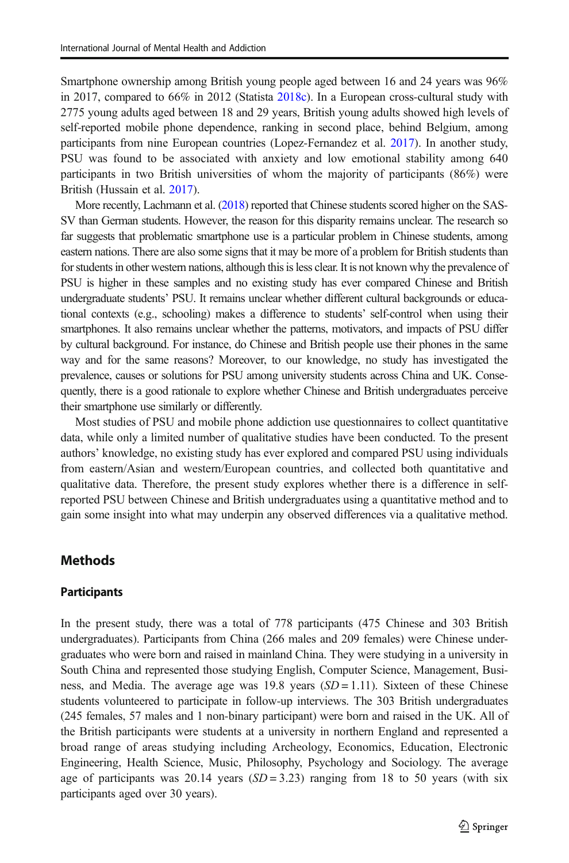Smartphone ownership among British young people aged between 16 and 24 years was 96% in 2017, compared to 66% in 2012 (Statista [2018c\)](#page-13-0). In a European cross-cultural study with 2775 young adults aged between 18 and 29 years, British young adults showed high levels of self-reported mobile phone dependence, ranking in second place, behind Belgium, among participants from nine European countries (Lopez-Fernandez et al. [2017](#page-13-0)). In another study, PSU was found to be associated with anxiety and low emotional stability among 640 participants in two British universities of whom the majority of participants (86%) were British (Hussain et al. [2017](#page-12-0)).

More recently, Lachmann et al. [\(2018](#page-13-0)) reported that Chinese students scored higher on the SAS-SV than German students. However, the reason for this disparity remains unclear. The research so far suggests that problematic smartphone use is a particular problem in Chinese students, among eastern nations. There are also some signs that it may be more of a problem for British students than for students in other western nations, although this is less clear. It is not known why the prevalence of PSU is higher in these samples and no existing study has ever compared Chinese and British undergraduate students' PSU. It remains unclear whether different cultural backgrounds or educational contexts (e.g., schooling) makes a difference to students' self-control when using their smartphones. It also remains unclear whether the patterns, motivators, and impacts of PSU differ by cultural background. For instance, do Chinese and British people use their phones in the same way and for the same reasons? Moreover, to our knowledge, no study has investigated the prevalence, causes or solutions for PSU among university students across China and UK. Consequently, there is a good rationale to explore whether Chinese and British undergraduates perceive their smartphone use similarly or differently.

Most studies of PSU and mobile phone addiction use questionnaires to collect quantitative data, while only a limited number of qualitative studies have been conducted. To the present authors' knowledge, no existing study has ever explored and compared PSU using individuals from eastern/Asian and western/European countries, and collected both quantitative and qualitative data. Therefore, the present study explores whether there is a difference in selfreported PSU between Chinese and British undergraduates using a quantitative method and to gain some insight into what may underpin any observed differences via a qualitative method.

# **Methods**

#### **Participants**

In the present study, there was a total of 778 participants (475 Chinese and 303 British undergraduates). Participants from China (266 males and 209 females) were Chinese undergraduates who were born and raised in mainland China. They were studying in a university in South China and represented those studying English, Computer Science, Management, Business, and Media. The average age was 19.8 years  $(SD = 1.11)$ . Sixteen of these Chinese students volunteered to participate in follow-up interviews. The 303 British undergraduates (245 females, 57 males and 1 non-binary participant) were born and raised in the UK. All of the British participants were students at a university in northern England and represented a broad range of areas studying including Archeology, Economics, Education, Electronic Engineering, Health Science, Music, Philosophy, Psychology and Sociology. The average age of participants was 20.14 years  $(SD = 3.23)$  ranging from 18 to 50 years (with six participants aged over 30 years).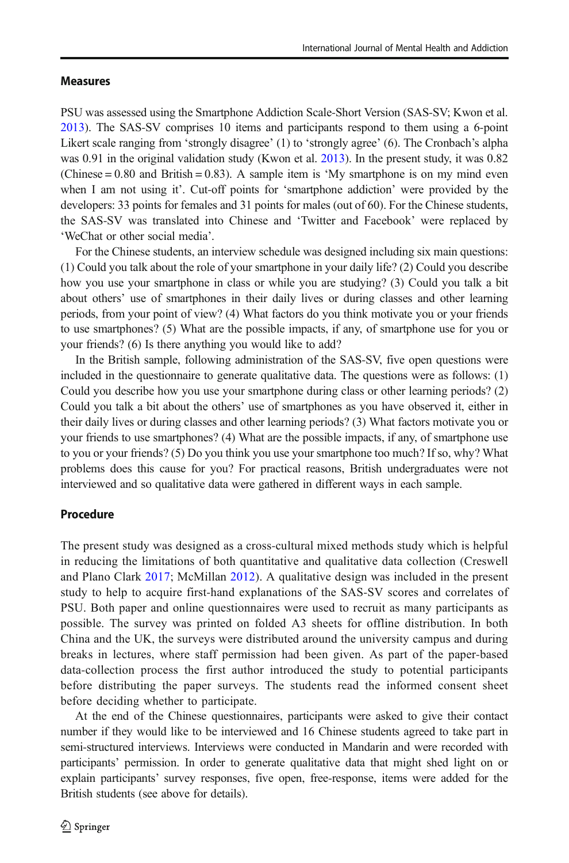#### Measures

PSU was assessed using the Smartphone Addiction Scale-Short Version (SAS-SV; Kwon et al. [2013](#page-12-0)). The SAS-SV comprises 10 items and participants respond to them using a 6-point Likert scale ranging from 'strongly disagree' (1) to 'strongly agree' (6). The Cronbach's alpha was 0.91 in the original validation study (Kwon et al. [2013](#page-12-0)). In the present study, it was 0.82 (Chinese  $= 0.80$  and British  $= 0.83$ ). A sample item is 'My smartphone is on my mind even when I am not using it'. Cut-off points for 'smartphone addiction' were provided by the developers: 33 points for females and 31 points for males (out of 60). For the Chinese students, the SAS-SV was translated into Chinese and 'Twitter and Facebook' were replaced by 'WeChat or other social media'.

For the Chinese students, an interview schedule was designed including six main questions: (1) Could you talk about the role of your smartphone in your daily life? (2) Could you describe how you use your smartphone in class or while you are studying? (3) Could you talk a bit about others' use of smartphones in their daily lives or during classes and other learning periods, from your point of view? (4) What factors do you think motivate you or your friends to use smartphones? (5) What are the possible impacts, if any, of smartphone use for you or your friends? (6) Is there anything you would like to add?

In the British sample, following administration of the SAS-SV, five open questions were included in the questionnaire to generate qualitative data. The questions were as follows: (1) Could you describe how you use your smartphone during class or other learning periods? (2) Could you talk a bit about the others' use of smartphones as you have observed it, either in their daily lives or during classes and other learning periods? (3) What factors motivate you or your friends to use smartphones? (4) What are the possible impacts, if any, of smartphone use to you or your friends? (5) Do you think you use your smartphone too much? If so, why? What problems does this cause for you? For practical reasons, British undergraduates were not interviewed and so qualitative data were gathered in different ways in each sample.

## Procedure

The present study was designed as a cross-cultural mixed methods study which is helpful in reducing the limitations of both quantitative and qualitative data collection (Creswell and Plano Clark [2017;](#page-12-0) McMillan [2012](#page-13-0)). A qualitative design was included in the present study to help to acquire first-hand explanations of the SAS-SV scores and correlates of PSU. Both paper and online questionnaires were used to recruit as many participants as possible. The survey was printed on folded A3 sheets for offline distribution. In both China and the UK, the surveys were distributed around the university campus and during breaks in lectures, where staff permission had been given. As part of the paper-based data-collection process the first author introduced the study to potential participants before distributing the paper surveys. The students read the informed consent sheet before deciding whether to participate.

At the end of the Chinese questionnaires, participants were asked to give their contact number if they would like to be interviewed and 16 Chinese students agreed to take part in semi-structured interviews. Interviews were conducted in Mandarin and were recorded with participants' permission. In order to generate qualitative data that might shed light on or explain participants' survey responses, five open, free-response, items were added for the British students (see above for details).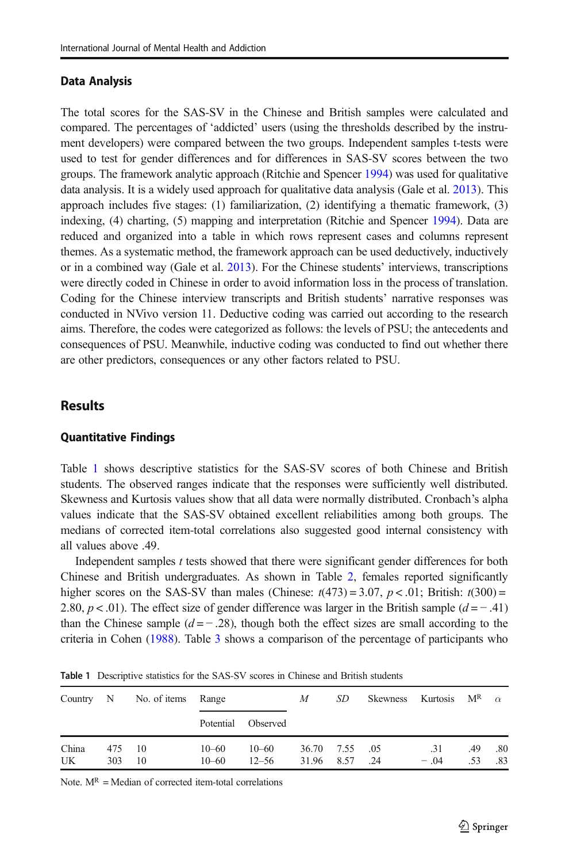## Data Analysis

The total scores for the SAS-SV in the Chinese and British samples were calculated and compared. The percentages of 'addicted' users (using the thresholds described by the instrument developers) were compared between the two groups. Independent samples t-tests were used to test for gender differences and for differences in SAS-SV scores between the two groups. The framework analytic approach (Ritchie and Spencer [1994](#page-13-0)) was used for qualitative data analysis. It is a widely used approach for qualitative data analysis (Gale et al. [2013\)](#page-12-0). This approach includes five stages: (1) familiarization, (2) identifying a thematic framework, (3) indexing, (4) charting, (5) mapping and interpretation (Ritchie and Spencer [1994](#page-13-0)). Data are reduced and organized into a table in which rows represent cases and columns represent themes. As a systematic method, the framework approach can be used deductively, inductively or in a combined way (Gale et al. [2013](#page-12-0)). For the Chinese students' interviews, transcriptions were directly coded in Chinese in order to avoid information loss in the process of translation. Coding for the Chinese interview transcripts and British students' narrative responses was conducted in NVivo version 11. Deductive coding was carried out according to the research aims. Therefore, the codes were categorized as follows: the levels of PSU; the antecedents and consequences of PSU. Meanwhile, inductive coding was conducted to find out whether there are other predictors, consequences or any other factors related to PSU.

## **Results**

### Quantitative Findings

Table 1 shows descriptive statistics for the SAS-SV scores of both Chinese and British students. The observed ranges indicate that the responses were sufficiently well distributed. Skewness and Kurtosis values show that all data were normally distributed. Cronbach's alpha values indicate that the SAS-SV obtained excellent reliabilities among both groups. The medians of corrected item-total correlations also suggested good internal consistency with all values above .49.

Independent samples  $t$  tests showed that there were significant gender differences for both Chinese and British undergraduates. As shown in Table [2](#page-5-0), females reported significantly higher scores on the SAS-SV than males (Chinese:  $t(473) = 3.07$ ,  $p < .01$ ; British:  $t(300) =$ 2.80,  $p < 0.01$ ). The effect size of gender difference was larger in the British sample  $(d = -0.41)$ than the Chinese sample  $(d = -0.28)$ , though both the effect sizes are small according to the criteria in Cohen ([1988](#page-12-0)). Table [3](#page-5-0) shows a comparison of the percentage of participants who

| Country N   |            | No. of items Range |                        |                        | M          | SD             | Skewness Kurtosis M <sup>R</sup> |               |            | $\alpha$   |
|-------------|------------|--------------------|------------------------|------------------------|------------|----------------|----------------------------------|---------------|------------|------------|
|             |            |                    |                        | Potential Observed     |            |                |                                  |               |            |            |
| China<br>UK | 475<br>303 | - 10<br>10         | $10 - 60$<br>$10 - 60$ | $10 - 60$<br>$12 - 56$ | 31.96 8.57 | 36.70 7.55 .05 | .24                              | .31<br>$-.04$ | .49<br>.53 | .80<br>.83 |

Table 1 Descriptive statistics for the SAS-SV scores in Chinese and British students

Note.  $M<sup>R</sup>$  = Median of corrected item-total correlations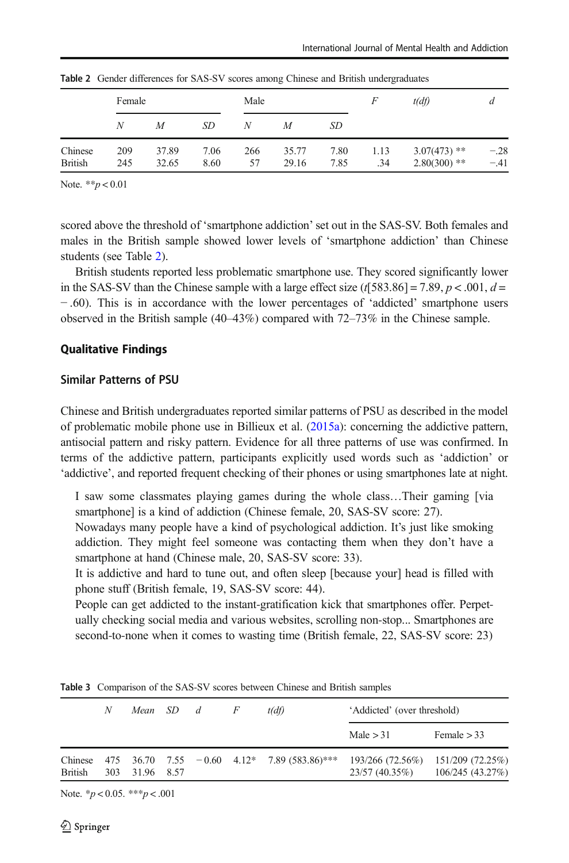|                           | Female     |                |              | Male      |                |              | F           | t(df)                            | d                |
|---------------------------|------------|----------------|--------------|-----------|----------------|--------------|-------------|----------------------------------|------------------|
|                           | N          | M              | SD           | N         | M              | SD           |             |                                  |                  |
| Chinese<br><b>British</b> | 209<br>245 | 37.89<br>32.65 | 7.06<br>8.60 | 266<br>57 | 35.77<br>29.16 | 7.80<br>7.85 | 1.13<br>.34 | $3.07(473)$ **<br>$2.80(300)$ ** | $-.28$<br>$-.41$ |

<span id="page-5-0"></span>Table 2 Gender differences for SAS-SV scores among Chinese and British undergraduates

Note. \*\* $p < 0.01$ 

scored above the threshold of 'smartphone addiction'set out in the SAS-SV. Both females and males in the British sample showed lower levels of 'smartphone addiction' than Chinese students (see Table 2).

British students reported less problematic smartphone use. They scored significantly lower in the SAS-SV than the Chinese sample with a large effect size (t  $(583.86) = 7.89$ ,  $p < .001$ ,  $d =$ − .60). This is in accordance with the lower percentages of 'addicted' smartphone users observed in the British sample (40–43%) compared with 72–73% in the Chinese sample.

## Qualitative Findings

## Similar Patterns of PSU

Chinese and British undergraduates reported similar patterns of PSU as described in the model of problematic mobile phone use in Billieux et al. ([2015a](#page-12-0)): concerning the addictive pattern, antisocial pattern and risky pattern. Evidence for all three patterns of use was confirmed. In terms of the addictive pattern, participants explicitly used words such as 'addiction' or 'addictive', and reported frequent checking of their phones or using smartphones late at night.

I saw some classmates playing games during the whole class…Their gaming [via smartphone] is a kind of addiction (Chinese female, 20, SAS-SV score: 27).

Nowadays many people have a kind of psychological addiction. It's just like smoking addiction. They might feel someone was contacting them when they don't have a smartphone at hand (Chinese male, 20, SAS-SV score: 33).

It is addictive and hard to tune out, and often sleep [because your] head is filled with phone stuff (British female, 19, SAS-SV score: 44).

People can get addicted to the instant-gratification kick that smartphones offer. Perpetually checking social media and various websites, scrolling non-stop... Smartphones are second-to-none when it comes to wasting time (British female, 22, SAS-SV score: 23)

|                    | N | Mean SD d      |  | F | t(df)                                         | 'Addicted' (over threshold)        |                                      |
|--------------------|---|----------------|--|---|-----------------------------------------------|------------------------------------|--------------------------------------|
|                    |   |                |  |   |                                               | Male $>$ 31                        | Female $>$ 33                        |
| Chinese<br>British |   | 303 31.96 8.57 |  |   | 475 36.70 7.55 $-0.60$ 4.12* 7.89 (583.86)*** | 193/266 (72.56%)<br>23/57 (40.35%) | 151/209 (72.25%)<br>106/245 (43.27%) |

Table 3 Comparison of the SAS-SV scores between Chinese and British samples

Note.  $* p < 0.05$ .  $** p < .001$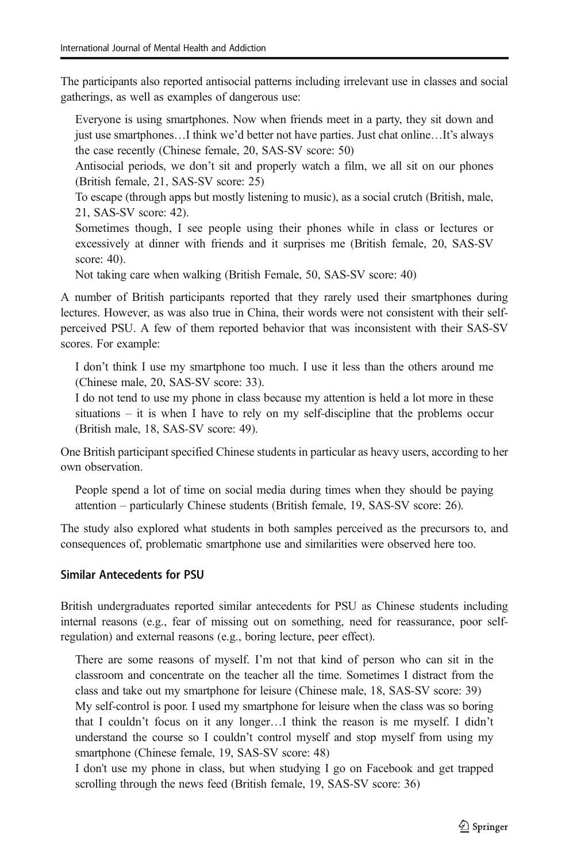The participants also reported antisocial patterns including irrelevant use in classes and social gatherings, as well as examples of dangerous use:

Everyone is using smartphones. Now when friends meet in a party, they sit down and just use smartphones…I think we'd better not have parties. Just chat online…It's always the case recently (Chinese female, 20, SAS-SV score: 50)

Antisocial periods, we don't sit and properly watch a film, we all sit on our phones (British female, 21, SAS-SV score: 25)

To escape (through apps but mostly listening to music), as a social crutch (British, male, 21, SAS-SV score: 42).

Sometimes though, I see people using their phones while in class or lectures or excessively at dinner with friends and it surprises me (British female, 20, SAS-SV score: 40).

Not taking care when walking (British Female, 50, SAS-SV score: 40)

A number of British participants reported that they rarely used their smartphones during lectures. However, as was also true in China, their words were not consistent with their selfperceived PSU. A few of them reported behavior that was inconsistent with their SAS-SV scores. For example:

I don't think I use my smartphone too much. I use it less than the others around me (Chinese male, 20, SAS-SV score: 33).

I do not tend to use my phone in class because my attention is held a lot more in these situations  $-$  it is when I have to rely on my self-discipline that the problems occur (British male, 18, SAS-SV score: 49).

One British participant specified Chinese students in particular as heavy users, according to her own observation.

People spend a lot of time on social media during times when they should be paying attention – particularly Chinese students (British female, 19, SAS-SV score: 26).

The study also explored what students in both samples perceived as the precursors to, and consequences of, problematic smartphone use and similarities were observed here too.

## Similar Antecedents for PSU

British undergraduates reported similar antecedents for PSU as Chinese students including internal reasons (e.g., fear of missing out on something, need for reassurance, poor selfregulation) and external reasons (e.g., boring lecture, peer effect).

There are some reasons of myself. I'm not that kind of person who can sit in the classroom and concentrate on the teacher all the time. Sometimes I distract from the class and take out my smartphone for leisure (Chinese male, 18, SAS-SV score: 39) My self-control is poor. I used my smartphone for leisure when the class was so boring that I couldn't focus on it any longer…I think the reason is me myself. I didn't understand the course so I couldn't control myself and stop myself from using my smartphone (Chinese female, 19, SAS-SV score: 48)

I don't use my phone in class, but when studying I go on Facebook and get trapped scrolling through the news feed (British female, 19, SAS-SV score: 36)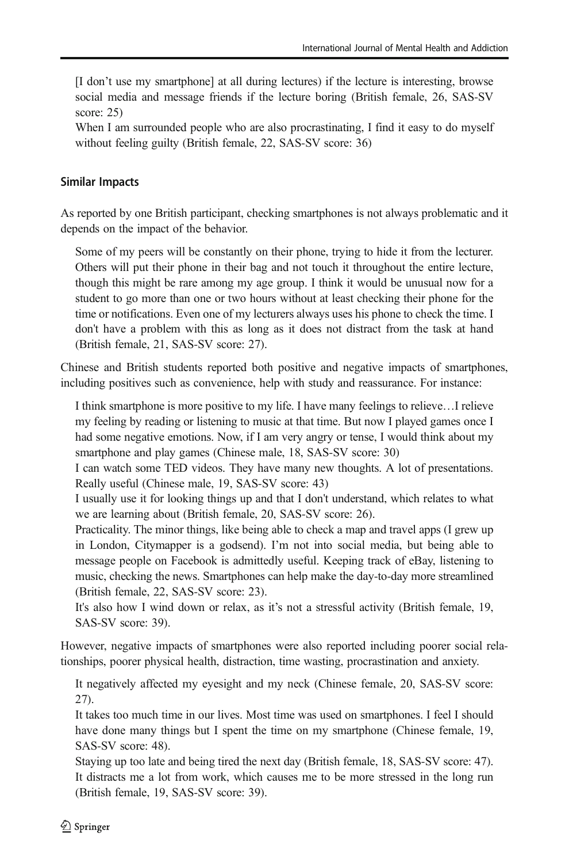[I don't use my smartphone] at all during lectures) if the lecture is interesting, browse social media and message friends if the lecture boring (British female, 26, SAS-SV score: 25)

When I am surrounded people who are also procrastinating, I find it easy to do myself without feeling guilty (British female, 22, SAS-SV score: 36)

# Similar Impacts

As reported by one British participant, checking smartphones is not always problematic and it depends on the impact of the behavior.

Some of my peers will be constantly on their phone, trying to hide it from the lecturer. Others will put their phone in their bag and not touch it throughout the entire lecture, though this might be rare among my age group. I think it would be unusual now for a student to go more than one or two hours without at least checking their phone for the time or notifications. Even one of my lecturers always uses his phone to check the time. I don't have a problem with this as long as it does not distract from the task at hand (British female, 21, SAS-SV score: 27).

Chinese and British students reported both positive and negative impacts of smartphones, including positives such as convenience, help with study and reassurance. For instance:

I think smartphone is more positive to my life. I have many feelings to relieve…I relieve my feeling by reading or listening to music at that time. But now I played games once I had some negative emotions. Now, if I am very angry or tense, I would think about my smartphone and play games (Chinese male, 18, SAS-SV score: 30)

I can watch some TED videos. They have many new thoughts. A lot of presentations. Really useful (Chinese male, 19, SAS-SV score: 43)

I usually use it for looking things up and that I don't understand, which relates to what we are learning about (British female, 20, SAS-SV score: 26).

Practicality. The minor things, like being able to check a map and travel apps (I grew up in London, Citymapper is a godsend). I'm not into social media, but being able to message people on Facebook is admittedly useful. Keeping track of eBay, listening to music, checking the news. Smartphones can help make the day-to-day more streamlined (British female, 22, SAS-SV score: 23).

It's also how I wind down or relax, as it's not a stressful activity (British female, 19, SAS-SV score: 39).

However, negative impacts of smartphones were also reported including poorer social relationships, poorer physical health, distraction, time wasting, procrastination and anxiety.

It negatively affected my eyesight and my neck (Chinese female, 20, SAS-SV score: 27).

It takes too much time in our lives. Most time was used on smartphones. I feel I should have done many things but I spent the time on my smartphone (Chinese female, 19, SAS-SV score: 48).

Staying up too late and being tired the next day (British female, 18, SAS-SV score: 47). It distracts me a lot from work, which causes me to be more stressed in the long run (British female, 19, SAS-SV score: 39).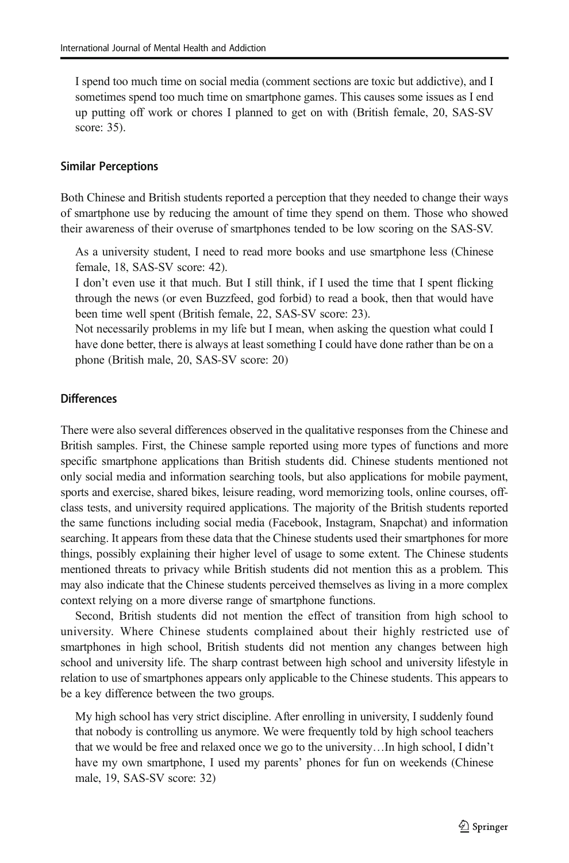I spend too much time on social media (comment sections are toxic but addictive), and I sometimes spend too much time on smartphone games. This causes some issues as I end up putting off work or chores I planned to get on with (British female, 20, SAS-SV score: 35).

## Similar Perceptions

Both Chinese and British students reported a perception that they needed to change their ways of smartphone use by reducing the amount of time they spend on them. Those who showed their awareness of their overuse of smartphones tended to be low scoring on the SAS-SV.

As a university student, I need to read more books and use smartphone less (Chinese female, 18, SAS-SV score: 42).

I don't even use it that much. But I still think, if I used the time that I spent flicking through the news (or even Buzzfeed, god forbid) to read a book, then that would have been time well spent (British female, 22, SAS-SV score: 23).

Not necessarily problems in my life but I mean, when asking the question what could I have done better, there is always at least something I could have done rather than be on a phone (British male, 20, SAS-SV score: 20)

# **Differences**

There were also several differences observed in the qualitative responses from the Chinese and British samples. First, the Chinese sample reported using more types of functions and more specific smartphone applications than British students did. Chinese students mentioned not only social media and information searching tools, but also applications for mobile payment, sports and exercise, shared bikes, leisure reading, word memorizing tools, online courses, offclass tests, and university required applications. The majority of the British students reported the same functions including social media (Facebook, Instagram, Snapchat) and information searching. It appears from these data that the Chinese students used their smartphones for more things, possibly explaining their higher level of usage to some extent. The Chinese students mentioned threats to privacy while British students did not mention this as a problem. This may also indicate that the Chinese students perceived themselves as living in a more complex context relying on a more diverse range of smartphone functions.

Second, British students did not mention the effect of transition from high school to university. Where Chinese students complained about their highly restricted use of smartphones in high school, British students did not mention any changes between high school and university life. The sharp contrast between high school and university lifestyle in relation to use of smartphones appears only applicable to the Chinese students. This appears to be a key difference between the two groups.

My high school has very strict discipline. After enrolling in university, I suddenly found that nobody is controlling us anymore. We were frequently told by high school teachers that we would be free and relaxed once we go to the university…In high school, I didn't have my own smartphone, I used my parents' phones for fun on weekends (Chinese male, 19, SAS-SV score: 32)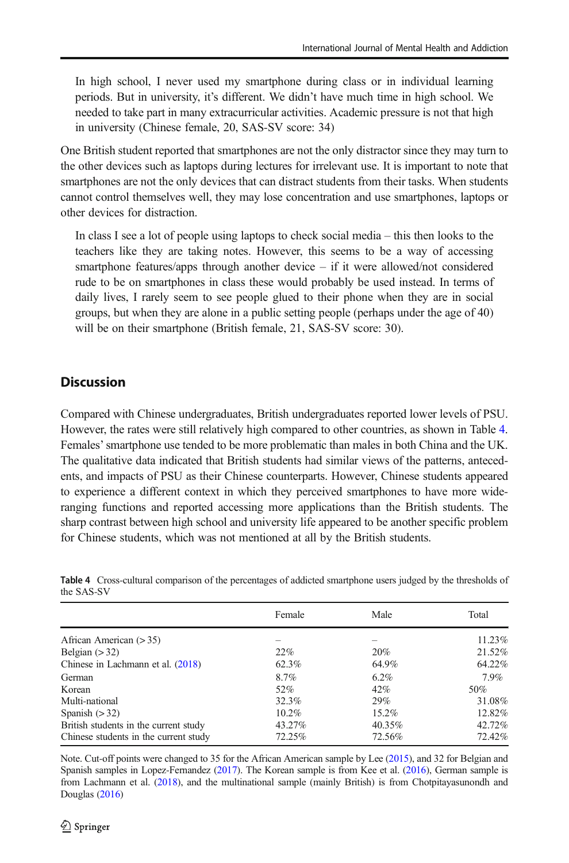<span id="page-9-0"></span>In high school, I never used my smartphone during class or in individual learning periods. But in university, it's different. We didn't have much time in high school. We needed to take part in many extracurricular activities. Academic pressure is not that high in university (Chinese female, 20, SAS-SV score: 34)

One British student reported that smartphones are not the only distractor since they may turn to the other devices such as laptops during lectures for irrelevant use. It is important to note that smartphones are not the only devices that can distract students from their tasks. When students cannot control themselves well, they may lose concentration and use smartphones, laptops or other devices for distraction.

In class I see a lot of people using laptops to check social media – this then looks to the teachers like they are taking notes. However, this seems to be a way of accessing smartphone features/apps through another device – if it were allowed/not considered rude to be on smartphones in class these would probably be used instead. In terms of daily lives, I rarely seem to see people glued to their phone when they are in social groups, but when they are alone in a public setting people (perhaps under the age of 40) will be on their smartphone (British female, 21, SAS-SV score: 30).

# **Discussion**

Compared with Chinese undergraduates, British undergraduates reported lower levels of PSU. However, the rates were still relatively high compared to other countries, as shown in Table 4. Females'smartphone use tended to be more problematic than males in both China and the UK. The qualitative data indicated that British students had similar views of the patterns, antecedents, and impacts of PSU as their Chinese counterparts. However, Chinese students appeared to experience a different context in which they perceived smartphones to have more wideranging functions and reported accessing more applications than the British students. The sharp contrast between high school and university life appeared to be another specific problem for Chinese students, which was not mentioned at all by the British students.

| Female | Male    | Total   |
|--------|---------|---------|
|        |         | 11.23%  |
| 22%    | 20%     | 21.52%  |
| 62.3%  | 64.9%   | 64.22%  |
| 8.7%   | $6.2\%$ | $7.9\%$ |
| 52%    | 42%     | 50%     |
| 32.3%  | 29%     | 31.08%  |
| 10.2%  | 15.2%   | 12.82%  |
| 43.27% | 40.35%  | 42.72%  |
| 72.25% | 72.56%  | 72.42%  |
|        |         |         |

Table 4 Cross-cultural comparison of the percentages of addicted smartphone users judged by the thresholds of the SAS-SV

Note. Cut-off points were changed to 35 for the African American sample by Lee [\(2015\)](#page-13-0), and 32 for Belgian and Spanish samples in Lopez-Fernandez ([2017](#page-13-0)). The Korean sample is from Kee et al. ([2016](#page-12-0)), German sample is from Lachmann et al. ([2018](#page-13-0)), and the multinational sample (mainly British) is from Chotpitayasunondh and Douglas [\(2016\)](#page-12-0)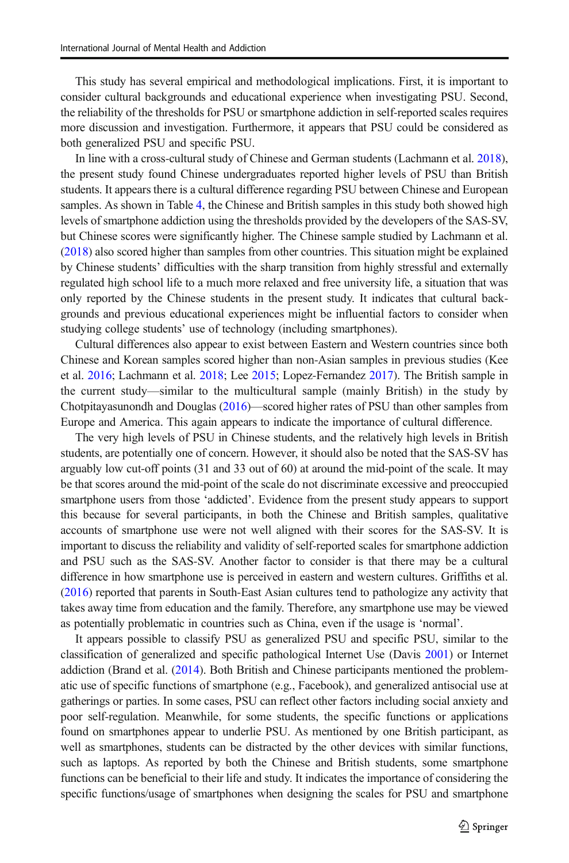This study has several empirical and methodological implications. First, it is important to consider cultural backgrounds and educational experience when investigating PSU. Second, the reliability of the thresholds for PSU or smartphone addiction in self-reported scales requires more discussion and investigation. Furthermore, it appears that PSU could be considered as both generalized PSU and specific PSU.

In line with a cross-cultural study of Chinese and German students (Lachmann et al. [2018](#page-13-0)), the present study found Chinese undergraduates reported higher levels of PSU than British students. It appears there is a cultural difference regarding PSU between Chinese and European samples. As shown in Table [4](#page-9-0), the Chinese and British samples in this study both showed high levels of smartphone addiction using the thresholds provided by the developers of the SAS-SV, but Chinese scores were significantly higher. The Chinese sample studied by Lachmann et al. ([2018](#page-13-0)) also scored higher than samples from other countries. This situation might be explained by Chinese students' difficulties with the sharp transition from highly stressful and externally regulated high school life to a much more relaxed and free university life, a situation that was only reported by the Chinese students in the present study. It indicates that cultural backgrounds and previous educational experiences might be influential factors to consider when studying college students' use of technology (including smartphones).

Cultural differences also appear to exist between Eastern and Western countries since both Chinese and Korean samples scored higher than non-Asian samples in previous studies (Kee et al. [2016](#page-12-0); Lachmann et al. [2018;](#page-13-0) Lee [2015](#page-13-0); Lopez-Fernandez [2017\)](#page-13-0). The British sample in the current study—similar to the multicultural sample (mainly British) in the study by Chotpitayasunondh and Douglas [\(2016\)](#page-12-0)—scored higher rates of PSU than other samples from Europe and America. This again appears to indicate the importance of cultural difference.

The very high levels of PSU in Chinese students, and the relatively high levels in British students, are potentially one of concern. However, it should also be noted that the SAS-SV has arguably low cut-off points (31 and 33 out of 60) at around the mid-point of the scale. It may be that scores around the mid-point of the scale do not discriminate excessive and preoccupied smartphone users from those 'addicted'. Evidence from the present study appears to support this because for several participants, in both the Chinese and British samples, qualitative accounts of smartphone use were not well aligned with their scores for the SAS-SV. It is important to discuss the reliability and validity of self-reported scales for smartphone addiction and PSU such as the SAS-SV. Another factor to consider is that there may be a cultural difference in how smartphone use is perceived in eastern and western cultures. Griffiths et al. ([2016](#page-12-0)) reported that parents in South-East Asian cultures tend to pathologize any activity that takes away time from education and the family. Therefore, any smartphone use may be viewed as potentially problematic in countries such as China, even if the usage is 'normal'.

It appears possible to classify PSU as generalized PSU and specific PSU, similar to the classification of generalized and specific pathological Internet Use (Davis [2001\)](#page-12-0) or Internet addiction (Brand et al. [\(2014](#page-12-0)). Both British and Chinese participants mentioned the problematic use of specific functions of smartphone (e.g., Facebook), and generalized antisocial use at gatherings or parties. In some cases, PSU can reflect other factors including social anxiety and poor self-regulation. Meanwhile, for some students, the specific functions or applications found on smartphones appear to underlie PSU. As mentioned by one British participant, as well as smartphones, students can be distracted by the other devices with similar functions, such as laptops. As reported by both the Chinese and British students, some smartphone functions can be beneficial to their life and study. It indicates the importance of considering the specific functions/usage of smartphones when designing the scales for PSU and smartphone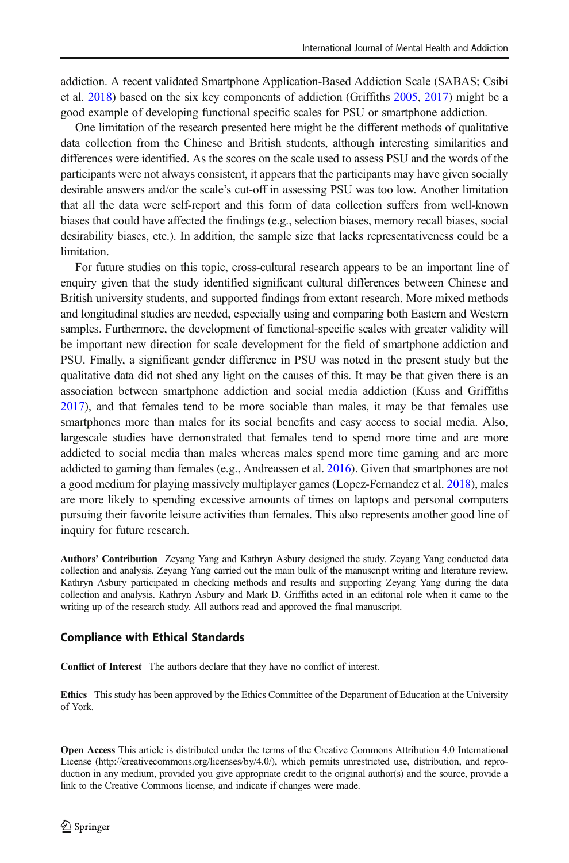addiction. A recent validated Smartphone Application-Based Addiction Scale (SABAS; Csibi et al. [2018\)](#page-12-0) based on the six key components of addiction (Griffiths [2005,](#page-12-0) [2017\)](#page-12-0) might be a good example of developing functional specific scales for PSU or smartphone addiction.

One limitation of the research presented here might be the different methods of qualitative data collection from the Chinese and British students, although interesting similarities and differences were identified. As the scores on the scale used to assess PSU and the words of the participants were not always consistent, it appears that the participants may have given socially desirable answers and/or the scale's cut-off in assessing PSU was too low. Another limitation that all the data were self-report and this form of data collection suffers from well-known biases that could have affected the findings (e.g., selection biases, memory recall biases, social desirability biases, etc.). In addition, the sample size that lacks representativeness could be a limitation.

For future studies on this topic, cross-cultural research appears to be an important line of enquiry given that the study identified significant cultural differences between Chinese and British university students, and supported findings from extant research. More mixed methods and longitudinal studies are needed, especially using and comparing both Eastern and Western samples. Furthermore, the development of functional-specific scales with greater validity will be important new direction for scale development for the field of smartphone addiction and PSU. Finally, a significant gender difference in PSU was noted in the present study but the qualitative data did not shed any light on the causes of this. It may be that given there is an association between smartphone addiction and social media addiction (Kuss and Griffiths [2017](#page-12-0)), and that females tend to be more sociable than males, it may be that females use smartphones more than males for its social benefits and easy access to social media. Also, largescale studies have demonstrated that females tend to spend more time and are more addicted to social media than males whereas males spend more time gaming and are more addicted to gaming than females (e.g., Andreassen et al. [2016](#page-12-0)). Given that smartphones are not a good medium for playing massively multiplayer games (Lopez-Fernandez et al. [2018\)](#page-13-0), males are more likely to spending excessive amounts of times on laptops and personal computers pursuing their favorite leisure activities than females. This also represents another good line of inquiry for future research.

Authors' Contribution Zeyang Yang and Kathryn Asbury designed the study. Zeyang Yang conducted data collection and analysis. Zeyang Yang carried out the main bulk of the manuscript writing and literature review. Kathryn Asbury participated in checking methods and results and supporting Zeyang Yang during the data collection and analysis. Kathryn Asbury and Mark D. Griffiths acted in an editorial role when it came to the writing up of the research study. All authors read and approved the final manuscript.

#### Compliance with Ethical Standards

Conflict of Interest The authors declare that they have no conflict of interest.

Ethics This study has been approved by the Ethics Committee of the Department of Education at the University of York.

Open Access This article is distributed under the terms of the Creative Commons Attribution 4.0 International License (http://creativecommons.org/licenses/by/4.0/), which permits unrestricted use, distribution, and reproduction in any medium, provided you give appropriate credit to the original author(s) and the source, provide a link to the Creative Commons license, and indicate if changes were made.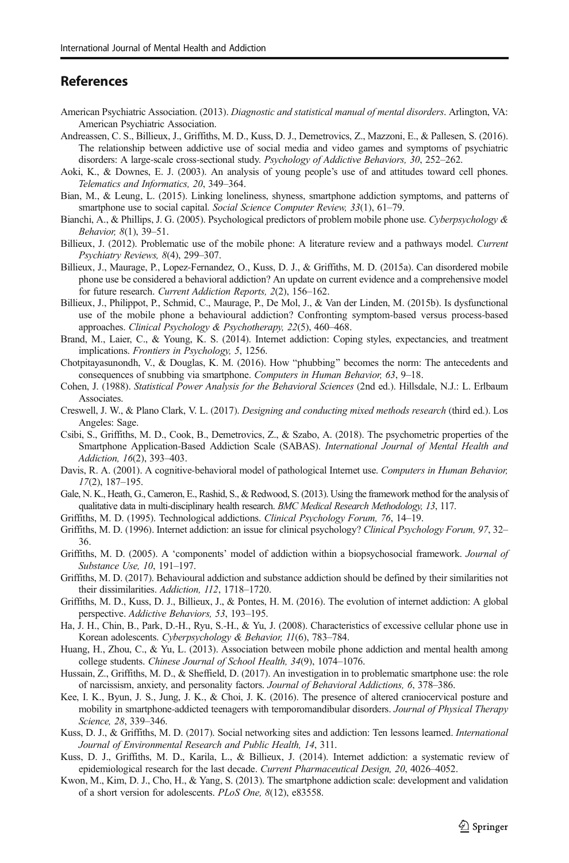## <span id="page-12-0"></span>References

- American Psychiatric Association. (2013). Diagnostic and statistical manual of mental disorders. Arlington, VA: American Psychiatric Association.
- Andreassen, C. S., Billieux, J., Griffiths, M. D., Kuss, D. J., Demetrovics, Z., Mazzoni, E., & Pallesen, S. (2016). The relationship between addictive use of social media and video games and symptoms of psychiatric disorders: A large-scale cross-sectional study. Psychology of Addictive Behaviors, 30, 252–262.
- Aoki, K., & Downes, E. J. (2003). An analysis of young people's use of and attitudes toward cell phones. Telematics and Informatics, 20, 349–364.
- Bian, M., & Leung, L. (2015). Linking loneliness, shyness, smartphone addiction symptoms, and patterns of smartphone use to social capital. Social Science Computer Review, 33(1), 61-79.
- Bianchi, A., & Phillips, J. G. (2005). Psychological predictors of problem mobile phone use. Cyberpsychology & Behavior, 8(1), 39–51.
- Billieux, J. (2012). Problematic use of the mobile phone: A literature review and a pathways model. Current Psychiatry Reviews, 8(4), 299–307.
- Billieux, J., Maurage, P., Lopez-Fernandez, O., Kuss, D. J., & Griffiths, M. D. (2015a). Can disordered mobile phone use be considered a behavioral addiction? An update on current evidence and a comprehensive model for future research. Current Addiction Reports, 2(2), 156–162.
- Billieux, J., Philippot, P., Schmid, C., Maurage, P., De Mol, J., & Van der Linden, M. (2015b). Is dysfunctional use of the mobile phone a behavioural addiction? Confronting symptom-based versus process-based approaches. Clinical Psychology & Psychotherapy, 22(5), 460–468.
- Brand, M., Laier, C., & Young, K. S. (2014). Internet addiction: Coping styles, expectancies, and treatment implications. Frontiers in Psychology, 5, 1256.
- Chotpitayasunondh, V., & Douglas, K. M. (2016). How "phubbing" becomes the norm: The antecedents and consequences of snubbing via smartphone. Computers in Human Behavior, 63, 9–18.
- Cohen, J. (1988). Statistical Power Analysis for the Behavioral Sciences (2nd ed.). Hillsdale, N.J.: L. Erlbaum Associates.
- Creswell, J. W., & Plano Clark, V. L. (2017). Designing and conducting mixed methods research (third ed.). Los Angeles: Sage.
- Csibi, S., Griffiths, M. D., Cook, B., Demetrovics, Z., & Szabo, A. (2018). The psychometric properties of the Smartphone Application-Based Addiction Scale (SABAS). International Journal of Mental Health and Addiction, 16(2), 393–403.
- Davis, R. A. (2001). A cognitive-behavioral model of pathological Internet use. Computers in Human Behavior, 17(2), 187–195.
- Gale, N. K., Heath, G., Cameron, E., Rashid, S., & Redwood, S. (2013). Using the framework method for the analysis of qualitative data in multi-disciplinary health research. BMC Medical Research Methodology, 13, 117.
- Griffiths, M. D. (1995). Technological addictions. Clinical Psychology Forum, 76, 14–19.
- Griffiths, M. D. (1996). Internet addiction: an issue for clinical psychology? Clinical Psychology Forum, 97, 32– 36.
- Griffiths, M. D. (2005). A 'components' model of addiction within a biopsychosocial framework. Journal of Substance Use, 10, 191–197.
- Griffiths, M. D. (2017). Behavioural addiction and substance addiction should be defined by their similarities not their dissimilarities. Addiction, 112, 1718–1720.
- Griffiths, M. D., Kuss, D. J., Billieux, J., & Pontes, H. M. (2016). The evolution of internet addiction: A global perspective. Addictive Behaviors, 53, 193–195.
- Ha, J. H., Chin, B., Park, D.-H., Ryu, S.-H., & Yu, J. (2008). Characteristics of excessive cellular phone use in Korean adolescents. Cyberpsychology & Behavior, 11(6), 783–784.
- Huang, H., Zhou, C., & Yu, L. (2013). Association between mobile phone addiction and mental health among college students. Chinese Journal of School Health, 34(9), 1074–1076.
- Hussain, Z., Griffiths, M. D., & Sheffield, D. (2017). An investigation in to problematic smartphone use: the role of narcissism, anxiety, and personality factors. Journal of Behavioral Addictions, 6, 378–386.
- Kee, I. K., Byun, J. S., Jung, J. K., & Choi, J. K. (2016). The presence of altered craniocervical posture and mobility in smartphone-addicted teenagers with temporomandibular disorders. Journal of Physical Therapy Science, 28, 339–346.
- Kuss, D. J., & Griffiths, M. D. (2017). Social networking sites and addiction: Ten lessons learned. International Journal of Environmental Research and Public Health, 14, 311.
- Kuss, D. J., Griffiths, M. D., Karila, L., & Billieux, J. (2014). Internet addiction: a systematic review of epidemiological research for the last decade. Current Pharmaceutical Design, 20, 4026–4052.
- Kwon, M., Kim, D. J., Cho, H., & Yang, S. (2013). The smartphone addiction scale: development and validation of a short version for adolescents. PLoS One, 8(12), e83558.